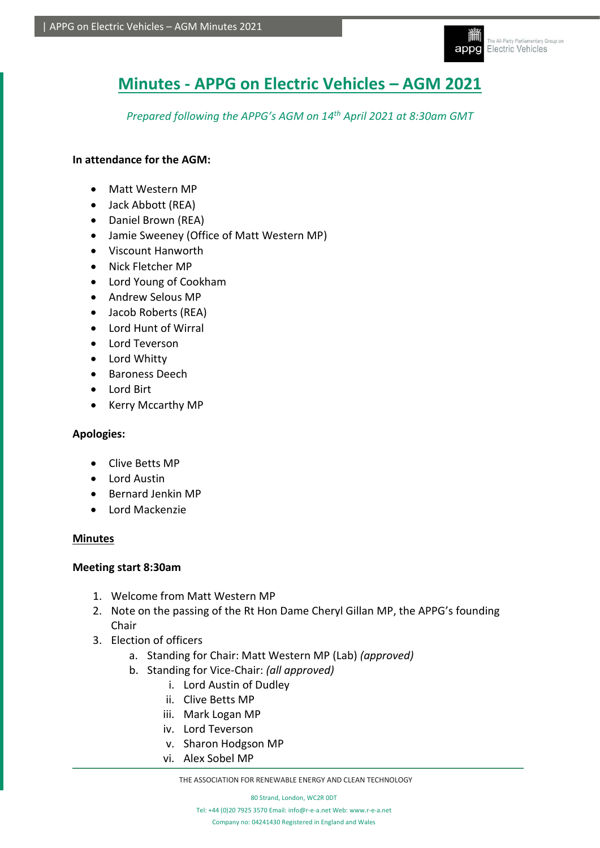

# **Minutes - APPG on Electric Vehicles – AGM 2021**

*Prepared following the APPG's AGM on 14th April 2021 at 8:30am GMT*

## **In attendance for the AGM:**

- Matt Western MP
- Jack Abbott (REA)
- Daniel Brown (REA)
- Jamie Sweeney (Office of Matt Western MP)
- Viscount Hanworth
- Nick Fletcher MP
- Lord Young of Cookham
- Andrew Selous MP
- Jacob Roberts (REA)
- Lord Hunt of Wirral
- Lord Teverson
- Lord Whitty
- Baroness Deech
- Lord Birt
- Kerry Mccarthy MP

### **Apologies:**

- Clive Betts MP
- Lord Austin
- Bernard Jenkin MP
- Lord Mackenzie

### **Minutes**

### **Meeting start 8:30am**

- 1. Welcome from Matt Western MP
- 2. Note on the passing of the Rt Hon Dame Cheryl Gillan MP, the APPG's founding Chair
- 3. Election of officers
	- a. Standing for Chair: Matt Western MP (Lab) *(approved)*
	- b. Standing for Vice-Chair: *(all approved)* 
		- i. Lord Austin of Dudley
		- ii. Clive Betts MP
		- iii. Mark Logan MP
		- iv. Lord Teverson
		- v. Sharon Hodgson MP
		- vi. Alex Sobel MP

THE ASSOCIATION FOR RENEWABLE ENERGY AND CLEAN TECHNOLOGY

80 Strand, London, WC2R 0DT Tel: +44 (0)20 7925 3570 Email[: info@r-e-a.net](mailto:info@r-e-a.net) Web[: www.r-e-a.net](http://www.r-e-a.net/) Company no: 04241430 Registered in England and Wales